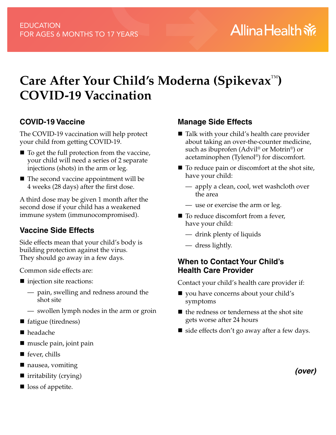# **Care After Your Child's Moderna (Spikevax**™**) COVID-19 Vaccination**

### **COVID-19 Vaccine**

The COVID-19 vaccination will help protect your child from getting COVID-19.

- $\blacksquare$  To get the full protection from the vaccine, your child will need a series of 2 separate injections (shots) in the arm or leg.
- The second vaccine appointment will be 4 weeks (28 days) after the first dose.

A third dose may be given 1 month after the second dose if your child has a weakened immune system (immunocompromised).

# **Vaccine Side Effects**

Side effects mean that your child's body is building protection against the virus. They should go away in a few days.

Common side effects are:

- injection site reactions:
	- pain, swelling and redness around the shot site
	- swollen lymph nodes in the arm or groin
- fatigue (tiredness)
- headache
- muscle pain, joint pain
- fever, chills
- nausea, vomiting
- $\blacksquare$  irritability (crying)
- loss of appetite.

## **Manage Side Effects**

- $\blacksquare$  Talk with your child's health care provider about taking an over-the-counter medicine, such as ibuprofen (Advil® or Motrin®) or acetaminophen (Tylenol®) for discomfort.
- $\blacksquare$  To reduce pain or discomfort at the shot site, have your child:
	- apply a clean, cool, wet washcloth over the area
	- use or exercise the arm or leg.
- To reduce discomfort from a fever, have your child:
	- drink plenty of liquids
	- dress lightly.

### **When to Contact Your Child's Health Care Provider**

Contact your child's health care provider if:

- vou have concerns about your child's symptoms
- $\blacksquare$  the redness or tenderness at the shot site gets worse after 24 hours
- $\blacksquare$  side effects don't go away after a few days.

*(over)*